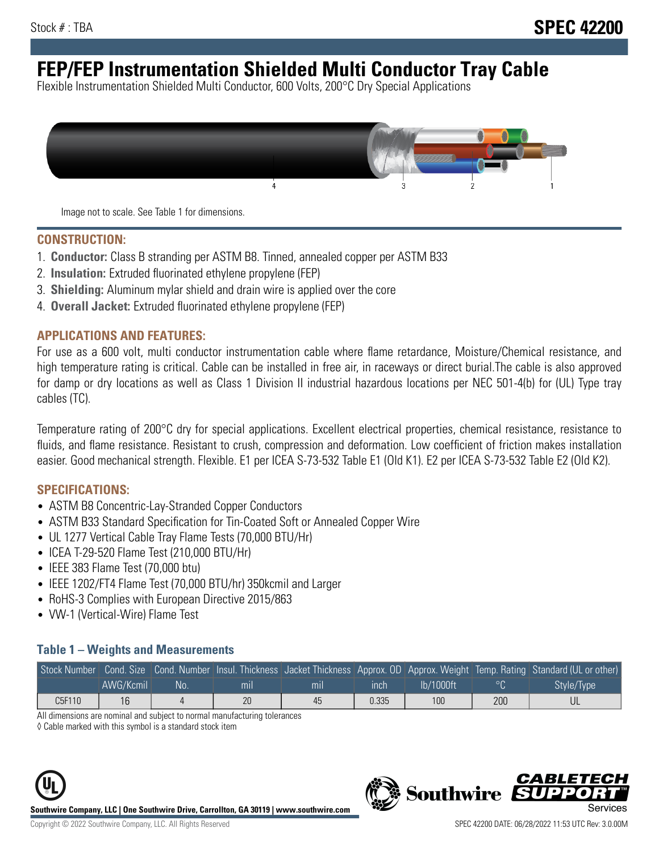# **FEP/FEP Instrumentation Shielded Multi Conductor Tray Cable**

Flexible Instrumentation Shielded Multi Conductor, 600 Volts, 200°C Dry Special Applications



Image not to scale. See Table 1 for dimensions.

#### **CONSTRUCTION:**

- 1. **Conductor:** Class B stranding per ASTM B8. Tinned, annealed copper per ASTM B33
- 2. **Insulation:** Extruded fluorinated ethylene propylene (FEP)
- 3. **Shielding:** Aluminum mylar shield and drain wire is applied over the core
- 4. **Overall Jacket:** Extruded fluorinated ethylene propylene (FEP)

#### **APPLICATIONS AND FEATURES:**

For use as a 600 volt, multi conductor instrumentation cable where flame retardance, Moisture/Chemical resistance, and high temperature rating is critical. Cable can be installed in free air, in raceways or direct burial.The cable is also approved for damp or dry locations as well as Class 1 Division II industrial hazardous locations per NEC 501-4(b) for (UL) Type tray cables (TC).

Temperature rating of 200°C dry for special applications. Excellent electrical properties, chemical resistance, resistance to fluids, and flame resistance. Resistant to crush, compression and deformation. Low coefficient of friction makes installation easier. Good mechanical strength. Flexible. E1 per ICEA S-73-532 Table E1 (Old K1). E2 per ICEA S-73-532 Table E2 (Old K2).

#### **SPECIFICATIONS:**

- ASTM B8 Concentric-Lay-Stranded Copper Conductors
- ASTM B33 Standard Specification for Tin-Coated Soft or Annealed Copper Wire
- UL 1277 Vertical Cable Tray Flame Tests (70,000 BTU/Hr)
- ICEA T-29-520 Flame Test (210,000 BTU/Hr)
- IEEE 383 Flame Test (70,000 btu)
- IEEE 1202/FT4 Flame Test (70,000 BTU/hr) 350kcmil and Larger
- RoHS-3 Complies with European Directive 2015/863
- VW-1 (Vertical-Wire) Flame Test

#### **Table 1 – Weights and Measurements**

|        |           |     |     |     |       |           |         | Stock Number Cond. Size Cond. Number Insul. Thickness Jacket Thickness Approx. OD Approx. Weight Temp. Rating Standard (UL or other) |
|--------|-----------|-----|-----|-----|-------|-----------|---------|--------------------------------------------------------------------------------------------------------------------------------------|
|        | AWG/Kcmil | No: | mıl | mıl | ınch  | lb/1000ft | $\circ$ | Style/Type                                                                                                                           |
| C5F110 | 16        |     | 20  | 45  | 0.335 | 100       | 200     |                                                                                                                                      |

All dimensions are nominal and subject to normal manufacturing tolerances

◊ Cable marked with this symbol is a standard stock item